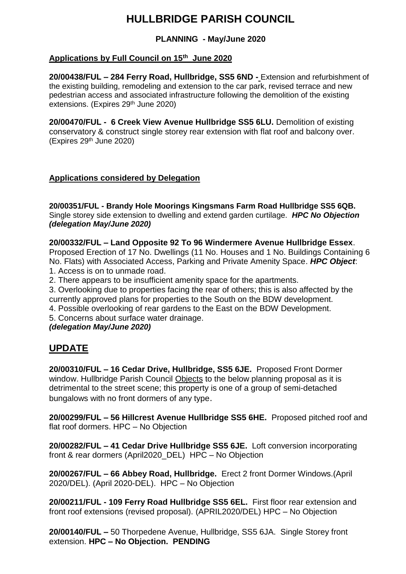# **HULLBRIDGE PARISH COUNCIL**

### **PLANNING - May/June 2020**

### **Applications by Full Council on 15th June 2020**

**20/00438/FUL – 284 Ferry Road, Hullbridge, SS5 6ND -** Extension and refurbishment of the existing building, remodeling and extension to the car park, revised terrace and new pedestrian access and associated infrastructure following the demolition of the existing extensions. (Expires 29<sup>th</sup> June 2020)

**20/00470/FUL - 6 Creek View Avenue Hullbridge SS5 6LU.** Demolition of existing conservatory & construct single storey rear extension with flat roof and balcony over. (Expires 29th June 2020)

### **Applications considered by Delegation**

**20/00351/FUL - Brandy Hole Moorings Kingsmans Farm Road Hullbridge SS5 6QB.**  Single storey side extension to dwelling and extend garden curtilage. *HPC No Objection (delegation May/June 2020)*

**20/00332/FUL – Land Opposite 92 To 96 Windermere Avenue Hullbridge Essex**. Proposed Erection of 17 No. Dwellings (11 No. Houses and 1 No. Buildings Containing 6 No. Flats) with Associated Access, Parking and Private Amenity Space. *HPC Object*: 1. Access is on to unmade road.

2. There appears to be insufficient amenity space for the apartments.

3. Overlooking due to properties facing the rear of others; this is also affected by the currently approved plans for properties to the South on the BDW development.

4. Possible overlooking of rear gardens to the East on the BDW Development.

5. Concerns about surface water drainage.

*(delegation May/June 2020)*

## **UPDATE**

**20/00310/FUL – 16 Cedar Drive, Hullbridge, SS5 6JE.** Proposed Front Dormer window. Hullbridge Parish Council Objects to the below planning proposal as it is detrimental to the street scene; this property is one of a group of semi-detached bungalows with no front dormers of any type.

**20/00299/FUL – 56 Hillcrest Avenue Hullbridge SS5 6HE.** Proposed pitched roof and flat roof dormers. HPC – No Objection

**20/00282/FUL – 41 Cedar Drive Hullbridge SS5 6JE.** Loft conversion incorporating front & rear dormers (April2020\_DEL) HPC – No Objection

**20/00267/FUL – 66 Abbey Road, Hullbridge.** Erect 2 front Dormer Windows.(April 2020/DEL). (April 2020-DEL). HPC – No Objection

**20/00211/FUL - 109 Ferry Road Hullbridge SS5 6EL.** First floor rear extension and front roof extensions (revised proposal). (APRIL2020/DEL) HPC – No Objection

**20/00140/FUL –** 50 Thorpedene Avenue, Hullbridge, SS5 6JA. Single Storey front extension. **HPC – No Objection. PENDING**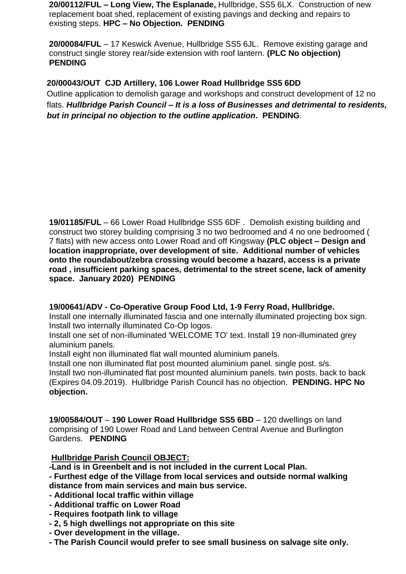**20/00112/FUL – Long View, The Esplanade,** Hullbridge, SS5 6LX. Construction of new replacement boat shed, replacement of existing pavings and decking and repairs to existing steps. **HPC – No Objection. PENDING**

**20/00084/FUL** – 17 Keswick Avenue, Hullbridge SS5 6JL. Remove existing garage and construct single storey rear/side extension with roof lantern. **(PLC No objection) PENDING**

### **20/00043/OUT CJD Artillery, 106 Lower Road Hullbridge SS5 6DD**

Outline application to demolish garage and workshops and construct development of 12 no flats. *Hullbridge Parish Council – It is a loss of Businesses and detrimental to residents, but in principal no objection to the outline application***. PENDING**.

**19/01185/FUL** – 66 Lower Road Hullbridge SS5 6DF . Demolish existing building and construct two storey building comprising 3 no two bedroomed and 4 no one bedroomed ( 7 flats) with new access onto Lower Road and off Kingsway **(PLC object – Design and location inappropriate, over development of site. Additional number of vehicles onto the roundabout/zebra crossing would become a hazard, access is a private road , insufficient parking spaces, detrimental to the street scene, lack of amenity space. January 2020) PENDING**

### **19/00641/ADV - Co-Operative Group Food Ltd, 1-9 Ferry Road, Hullbridge.**

Install one internally illuminated fascia and one internally illuminated projecting box sign. Install two internally illuminated Co-Op logos.

Install one set of non-illuminated 'WELCOME TO' text. Install 19 non-illuminated grey aluminium panels.

Install eight non illuminated flat wall mounted aluminium panels.

Install one non illuminated flat post mounted aluminium panel. single post. s/s. Install two non-illuminated flat post mounted aluminium panels. twin posts. back to back (Expires 04.09.2019). Hullbridge Parish Council has no objection. **PENDING. HPC No objection.**

**19/00584/OUT** – **190 Lower Road Hullbridge SS5 6BD** – 120 dwellings on land comprising of 190 Lower Road and Land between Central Avenue and Burlington Gardens. **PENDING**

### **Hullbridge Parish Council OBJECT:**

**-Land is in Greenbelt and is not included in the current Local Plan.**

**- Furthest edge of the Village from local services and outside normal walking distance from main services and main bus service.**

- **- Additional local traffic within village**
- **- Additional traffic on Lower Road**
- **- Requires footpath link to village**
- **- 2, 5 high dwellings not appropriate on this site**
- **- Over development in the village.**
- **- The Parish Council would prefer to see small business on salvage site only.**